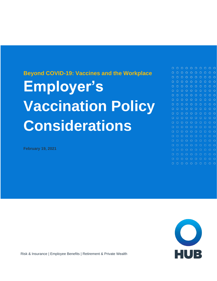# **Beyond COVID-19: Vaccines and the Workplace Employer's Vaccination Policy Considerations**

**February 19, 2021**

 $\circ$  $O$   $O$  $O$   $O$  $O$   $O$  $\circ$  $\Omega$  $\Omega$ o o  $\circ$  $\circ$ O O  $O$   $O$ 



Risk & Insurance | Employee Benefits | Retirement & Private Wealth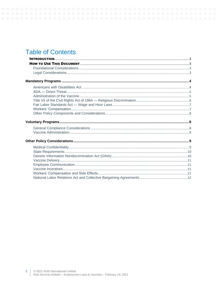# **Table of Contents**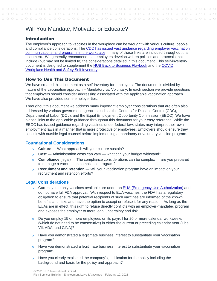# Will You Mandate, Motivate, or Educate?

# <span id="page-2-0"></span>Introduction

The employer's approach to vaccines in the workplace can be wrought with various culture, people, and compliance considerations. The [CDC has issued vast guidance regarding employer vaccination](https://www.cdc.gov/coronavirus/2019-ncov/vaccines/recommendations/essentialworker/workplace-vaccination-program.html#:~:text=Employer%20Vaccine%20Mandates%20and%20Proof%20of%20Vaccination&text=If%20an%20employer%20requires%20employees,as%20part%20of%20the%20proof.)  [communications and programs in the workplace](https://www.cdc.gov/coronavirus/2019-ncov/vaccines/recommendations/essentialworker/workplace-vaccination-program.html#:~:text=Employer%20Vaccine%20Mandates%20and%20Proof%20of%20Vaccination&text=If%20an%20employer%20requires%20employees,as%20part%20of%20the%20proof.) – many of those links are included throughout this document. We generally recommend that employers develop written policies and protocols that include (but may not be limited to) the considerations detailed in this document. This self-inventory document is designed to supplement the [HUB Back to Business Playbook](https://www.hubinternational.com/blog/2020/05/back-to-business-playbook-ebook/) and the [COVID](https://www.hubinternational.com/blog/2020/11/covid-workplace-safety-self-inventory/,)  [Workplace Health and Safety Self Inventory.](https://www.hubinternational.com/blog/2020/11/covid-workplace-safety-self-inventory/,)

# <span id="page-2-1"></span>How to Use This Document

We have created this document as a self-inventory for employers. The document is divided by nature of the vaccination approach – Mandatory vs. Voluntary. In each section we provide questions that employers should consider addressing associated with the applicable vaccination approach. We have also provided some employer tips.

Throughout this document we address many important employer considerations that are often also addressed by various government agencies such as the Centers for Disease Control (CDC), Department of Labor (DOL), and the Equal Employment Opportunity Commission (EEOC). We have placed links to the applicable guidance throughout this document for your easy reference. While the EEOC has issued guidance regarding vaccines under federal law, states may interpret their own employment laws in a manner that is more protective of employees. Employers should ensure they consult with outside legal counsel before implementing a mandatory or voluntary vaccine program.

## <span id="page-2-2"></span>**Foundational Considerations**

- **Culture** What approach will your culture sustain?
- **Cost** Administration costs can vary what can your budget withstand?
- **Compliance** (legal) The compliance considerations can be complex are you prepared to manage a vaccination compliance program?
- **Recruitment and retention** Will your vaccination program have an impact on your recruitment and retention efforts?

## <span id="page-2-3"></span>**Legal Considerations**

- $\circ$  Currently, the only vaccines available are under an [EUA \(Emergency Use Authorization\)](https://www.fda.gov/vaccines-blood-biologics/vaccines/emergency-use-authorization-vaccines-explained) and do not have full FDA approval. With respect to EUA-vaccines, the FDA has a regulatory obligation to ensure that potential recipients of such vaccines are informed of the known benefits and risks and have the option to accept or refuse it for any reason. As long as the EUAs are in effect, this right to refuse directly conflicts with an employer-mandated program and exposes the employer to more legal uncertainty and risk.
- $\circ$  Do you employ 15 or more employees on its payroll for 20 or more calendar workweeks (which do not need to be consecutive) in either the current or preceding calendar year (Title VII, ADA, and GINA)?
- $\circ$  Have you demonstrated a legitimate business interest to substantiate your vaccination program?
- Have you demonstrated a legitimate business interest to substantiate your vaccination  $\overline{O}$ program?
- Have you clearly explained the company's justification for the policy including the  $\overline{O}$ background and basis for the policy and approach?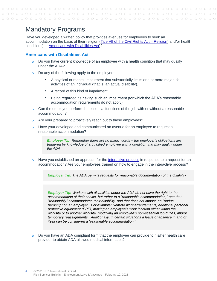# <span id="page-3-0"></span>Mandatory Programs

Have you developed a written policy that provides avenues for employees to seek an accommodation on the basis of their religion [\(Title VII of the Civil Rights Act –](https://www.eeoc.gov/religious-discrimination) Religion) and/or health condition (i.e. [Americans with Disabilities Act\)](https://www.eeoc.gov/laws/guidance/enforcement-guidance-reasonable-accommodation-and-undue-hardship-under-ada)?

# <span id="page-3-1"></span>**Americans with Disabilities Act**

- $\circ$  Do you have current knowledge of an employee with a health condition that may qualify under the ADA?
- Do any of the following apply to the employee:  $\Omega$ 
	- A physical or mental impairment that [substantially limits](http://us.practicallaw.thomsonreuters.com/Document/Id168f3b9ef2911e28578f7ccc38dcbee/View/FullText.html?originationContext=document&vr=3.0&rs=cblt1.0&transitionType=DocumentItem&contextData=(sc.Default)) one or more [major life](http://us.practicallaw.thomsonreuters.com/Document/I0f9fbee9ef0811e28578f7ccc38dcbee/View/FullText.html?originationContext=document&vr=3.0&rs=cblt1.0&transitionType=DocumentItem&contextData=(sc.Default))  [activities](http://us.practicallaw.thomsonreuters.com/Document/I0f9fbee9ef0811e28578f7ccc38dcbee/View/FullText.html?originationContext=document&vr=3.0&rs=cblt1.0&transitionType=DocumentItem&contextData=(sc.Default)) of an individual (that is, an actual disability).
	- A record of this kind of impairment.
	- Being [regarded as](http://us.practicallaw.thomsonreuters.com/Document/Id168f3bcef2911e28578f7ccc38dcbee/View/FullText.html?originationContext=document&vr=3.0&rs=cblt1.0&transitionType=DocumentItem&contextData=(sc.Default)) having such an impairment (for which the ADA's reasonable accommodation requirements do not apply).
- Can the employee perform the essential functions of the job with or without a reasonable accommodation?
- Are your prepared to proactively reach out to these employees?  $\Omega$
- Have your developed and communicated an avenue for an employee to request a  $\overline{O}$ reasonable accommodation?

*Employer Tip: Remember there are no magic words – the employer's obligations are triggered by knowledge of a qualified employee with a condition that may qualify under the ADA*

Have you established an approach for the *interactive process* in response to a request for an accommodation? Are your employees trained on how to engage in the interactive process?

*Employer Tip: The ADA permits requests for reasonable documentation of the disability*

*Employer Tip: Workers with disabilities under the ADA do not have the right to the accommodation of their choice, but rather to a "reasonable accommodation," one that "reasonably" accommodates their disability, and that does not impose an "undue hardship"* on an employer. For example: Remote work arrangements, additional personal *protective equipment (PPE), moving an employee's work location either within the worksite or to another worksite, modifying an employee's non-essential job duties, and/or temporary reassignments. Additionally, in certain situations a leave of absence in and of itself can be considered a "reasonable accommodation."*

 $\alpha$ Do you have an ADA compliant form that the employee can provide to his/her health care provider to obtain ADA allowed medical information?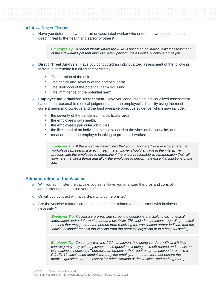# <span id="page-4-0"></span>**ADA — Direct Threat**

 $\circ$  Have you determined whether an unvaccinated worker who enters the workplace poses a direct threat to the health and safety of others?

> *Employer Tip: A "direct threat" under the ADA is based on an individualized assessment of the individual's present ability to safely perform the essential functions of the job.*

- **Direct Threat Analysis:** Have you conducted an individualized assessment of the following  $\Omega$ factors to determine if a direct threat exists?
	- The duration of the risk
	- The nature and severity of the potential harm
	- The likelihood of the potential harm occurring
	- The imminence of the potential harm
- **Employee Individualized Assessment:** Have you conducted an individualized assessment based on a reasonable medical judgment about the employee's disability using the most current medical knowledge and the best available objective evidence, which may include:
	- the severity of the pandemic in a particular area;
	- the employee's own health;
	- the employee's particular job duties;
	- the likelihood of an individual being exposed to the virus at the worksite; and
	- measures that the employer is taking to protect all workers.

*Employer Tip: If the employer determines that an unvaccinated worker who enters the workplace represents a direct threat, the employer should engage in the interactive process with the employee to determine if there is a reasonable accommodation that will eliminate the direct threat and allow the employee to perform the essential functions of the job.*

#### <span id="page-4-1"></span>**Administration of the Vaccine**

- $\circ$  Will you administer the vaccine yourself? Have you analyzed the pros and cons of administering the vaccine yourself?
- $\circ$  Or will you contract with a third-party to come onsite?
- Are the vaccine related screening inquiries "job-related and consistent with business  $\Omega$ necessity"?

*Employer Tip: Necessary pre-vaccine screening questions are likely to elicit medical information and/or information about a disability. This includes questions regarding medical reasons that may prevent the person from receiving the vaccination and/or indicate that the individual should receive the vaccine from the person's physician or in a hospital setting.*

*Employer Tip: To comply with the ADA, employers (including vendors with which they contract) may only ask employees these questions if doing so is job-related and consistent with business necessity. Therefore, an employer that requires an employee to receive a COVID-19 vaccination administered by the employer or contractor must ensure the medical questions are necessary for administration of the vaccine (and nothing more)*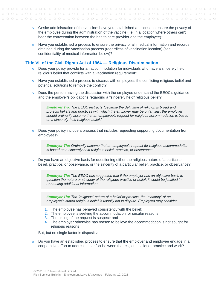- $\circ$  Onsite administration of the vaccine: have you established a process to ensure the privacy of the employee during the administration of the vaccine (i.e. in a location where others can't hear the conversation between the health care provider and the employee)?
- Have you established a process to ensure the privacy of all medical information and records  $\overline{O}$ obtained during the vaccination process (regardless of vaccination location) (see confidentiality of medical information below)?

# <span id="page-5-0"></span>**Title VII of the Civil Rights Act of 1964 — Religious Discrimination**

- o Does your policy provide for an accommodation for individuals who have a sincerely held religious belief that conflicts with a vaccination requirement?
- $\circ$  Have you established a process to discuss with employees the conflicting religious belief and potential solutions to remove the conflict?
- Does the person having the discussion with the employee understand the EEOC's guidance  $\Omega$ and the employer's obligations regarding a "sincerely held" religious belief?

*Employer Tip: The EEOC instructs "because the definition of religion is broad and protects beliefs and practices with which the employer may be unfamiliar, the employer should ordinarily assume that an employee's request for religious accommodation is based on a sincerely-held religious belief."*

Does your policy include a process that includes requesting supporting documentation from  $\overline{O}$ employees?

*Employer Tip: Ordinarily assume that an employee's request for religious accommodation is based on a sincerely held religious belief, practice, or observance.*

Do you have an objective basis for questioning either the religious nature of a particular  $\Omega$ belief, practice, or observance, or the sincerity of a particular belief, practice, or observance?

*Employer Tip: The EEOC has suggested that if the employer has an objective basis to question the nature or sincerity of the religious practice or belief, it would be justified in requesting additional information.*

*Employer Tip: The "religious" nature of a belief or practice, the "sincerity" of an employee's stated religious belief is usually not in dispute. Employers may consider* 

- 1. The employee has behaved consistently with the belief;
- 2. The employee is seeking the accommodation for secular reasons;
- 3. The timing of the request is suspect; and
- 4. The employer otherwise has reason to believe the accommodation is not sought for religious reasons

But, but no single factor is dispositive.

 $\circ$  Do you have an established process to ensure that the employer and employee engage in a cooperative effort to address a conflict between the religious belief or practice and work?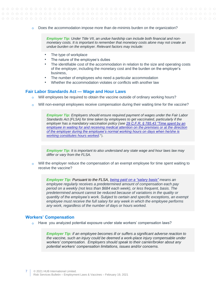$\circ$  Does the accommodation impose more than de-minimis burden on the organization?

*Employer Tip: Under Title VII, an undue hardship can include both financial and nonmonetary costs. It is important to remember that monetary costs alone may not create an undue burden on the employer. Relevant factors may include:*

- The type of workplace
- The nature of the employee's duties
- The identifiable cost of the accommodation in relation to the size and operating costs of the employer, including the monetary cost and the burden on the employer's business,
- The number of employees who need a particular accommodation
- Whether the accommodation violates or conflicts with another law

#### <span id="page-6-0"></span>**Fair Labor Standards Act — Wage and Hour Laws**

- $\overline{O}$ Will employees be required to obtain the vaccine outside of ordinary working hours?
- Will non-exempt employees receive compensation during their waiting time for the vaccine?

*Employer Tip: Employers should ensure required payment of wages under the Fair Labor Standards Act (FLSA) for time taken by employees to get vaccinated, particularly if the employer has a mandatory vaccination policy (see [29 C.F.R. § 785.43 "Time spent by an](https://www.law.cornell.edu/cfr/text/29/785.43)  [employee in waiting for and receiving medical attention on](https://www.law.cornell.edu/cfr/text/29/785.43) the premises or at the direction [of the employer during the employee's normal working hours on days when he/she is](https://www.law.cornell.edu/cfr/text/29/785.43)  [working constitutes hours worked](https://www.law.cornell.edu/cfr/text/29/785.43)*.").

*Employer Tip: It is important to also understand any state wage and hour laws law may differ or vary from the FLSA.* 

Will the employer reduce the compensation of an exempt employee for time spent waiting to  $\Omega$ receive the vaccine?

*Employer Tip: Pursuant to the FLSA, [being paid on a "salary basis"](https://www.dol.gov/sites/dolgov/files/WHD/legacy/files/fs17g_salary.pdf) means an employee regularly receives a predetermined amount of compensation each pay period on a weekly (not less than \$684 each week), or less frequent, basis. The predetermined amount cannot be reduced because of variations in the quality or quantity of the employee's work. Subject to certain and specific exceptions, an exempt employee must receive the full salary for any week in which the employee performs any work, regardless of the number of days or hours worked.*

#### <span id="page-6-1"></span>**Workers' Compensation**

Have you analyzed potential exposure under state workers' compensation laws?

*Employer Tip: if an employee becomes ill or suffers a significant adverse reaction to the vaccine, such an injury could be deemed a work-place injury compensable under workers' compensation. Employers should speak to their carrier/broker about any potential workers' compensation limitations, issues and/or concerns.*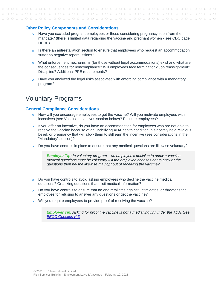#### <span id="page-7-0"></span>**Other Policy Components and Considerations**

- $\circ$  Have you excluded pregnant employees or those considering pregnancy soon from the mandate? (there is limited data regarding the vaccine and pregnant women - see CDC page HERE)
- $\circ$  Is there an anti-retaliation section to ensure that employees who request an accommodation suffer no negative repercussions?
- $\circ$  What enforcement mechanisms (for those without legal accommodations) exist and what are the consequences for noncompliance? Will employees face termination? Job reassignment? Discipline? Additional PPE requirements?
- $\circ$  Have you analyzed the legal risks associated with enforcing compliance with a mandatory program?

# <span id="page-7-1"></span>Voluntary Programs

#### <span id="page-7-2"></span>**General Compliance Considerations**

- $\overline{a}$ How will you encourage employees to get the vaccine? Will you motivate employees with incentives (see Vaccine Incentives section below)? Educate employees?
- If you offer an incentive, do you have an accommodation for employees who are not able to  $\Omega$ receive the vaccine because of an underlying ADA health condition, a sincerely held religious belief, or pregnancy that will allow them to still earn the incentive (see considerations in the "Mandatory" section)?
- Do you have controls in place to ensure that any medical questions are likewise voluntary?  $\Omega$

*Employer Tip: In voluntary program – an employee's decision to answer vaccine medical questions must be voluntary – if the employee chooses not to answer the questions then he/she likewise may opt out of receiving the vaccine?*

- Do you have controls to avoid asking employees who decline the vaccine medical  $\Omega$ questions? Or asking questions that elicit medical information?
- Do you have controls to ensure that no one retaliates against, intimidates, or threatens the  $\Omega$ employee for refusing to answer any questions or get the vaccine?
- Will you require employees to provide proof of receiving the vaccine?  $\Omega$

<span id="page-7-3"></span>*Employer Tip: Asking for proof the vaccine is not a medial inquiry under the ADA. See [EEOC Question K.3](https://www.eeoc.gov/wysk/what-you-should-know-about-covid-19-and-ada-rehabilitation-act-and-other-eeo-laws?utm_content=&utm_medium=email&utm_name=&utm_source=govdelivery&utm_term=)*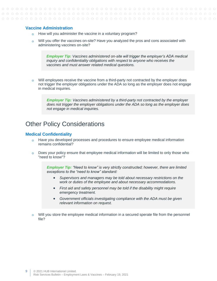## **Vaccine Administration**

- o How will you administer the vaccine in a voluntary program?
- Will you offer the vaccines on-site? Have you analyzed the pros and cons associated with  $\circ$ administering vaccines on-site?

*Employer Tip: Vaccines administered on-site will trigger the employer's ADA medical inquiry and confidentiality obligations with respect to anyone who receives the vaccines and must answer related medical questions.*

Will employees receive the vaccine from a third-party not contracted by the employer does  $\Omega$ not trigger the employer obligations under the ADA so long as the employer does not engage in medical inquiries.

*Employer Tip: Vaccines administered by a third-party not contracted by the employer does not trigger the employer obligations under the ADA so long as the employer does not engage in medical inquiries.*

# <span id="page-8-0"></span>Other Policy Considerations

#### <span id="page-8-1"></span>**Medical Confidentiality**

- $\circ$  Have you developed processes and procedures to ensure employee medical information remains confidential?
- Does your policy ensure that employee medical information will be limited to only those who  $\Omega$ "need to know"?

*Employer Tip: "Need to know" is very strictly constructed; however, there are limited exceptions to the "need to know" standard:*

- *Supervisors and managers may be told about necessary restrictions on the work or duties of the employee and about necessary accommodations.*
- *First aid and safety personnel may be told if the disability might require emergency treatment.*
- *Government officials investigating compliance with the ADA must be given relevant information on request.*
- <span id="page-8-2"></span>Will you store the employee medical information in a secured sperate file from the personnel  $\overline{O}$ file?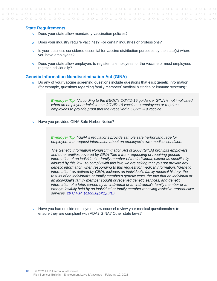#### **State Requirements**

- $\overline{O}$ Does your state allow mandatory vaccination policies?
- Does your industry require vaccines? For certain industries or professions?  $\Omega$
- $\circ$  Is your business considered essential for vaccine distribution purposes by the state(s) where you have employees?
- $\Omega$ Does your state allow employers to register its employees for the vaccine or must employees register individually?

#### <span id="page-9-0"></span>**[Genetic Information Nondiscrimination Act \(GINA\)](https://www.eeoc.gov/statutes/genetic-information-nondiscrimination-act-2008)**

Do any of your vaccine screening questions include questions that elicit genetic information (for example, questions regarding family members' medical histories or immune systems)?

> *Employer Tip: "According to the EEOC's COVID-19 guidance, GINA is not implicated when an employer administers a COVID-19 vaccine to employees or requires employees to provide proof that they received a COVID-19 vaccine.*

Have you provided GINA Safe Harbor Notice?  $\circ$ 

> *Employer Tip: "GINA's regulations provide sample safe harbor language for employers that request information about an employee's own medical condition:*

*The Genetic Information Nondiscrimination Act of 2008 (GINA) prohibits employers and other entities covered by GINA Title II from requesting or requiring genetic information of an individual or family member of the individual, except as specifically allowed by this law. To comply with this law, we are asking that you not provide any genetic information when responding to this request for medical information. "Genetic information" as defined by GINA, includes an individual's family medical history, the results of an individual's or family member's genetic tests, the fact that an individual or an individual's family member sought or received genetic services, and genetic information of a fetus carried by an individual or an individual's family member or an embryo lawfully held by an individual or family member receiving assistive reproductive services. [29 C.F.R. §1635.8\(b\)\(1\)\(i\)\(B\).](https://www.law.cornell.edu/cfr/text/29/1635.8)*

<span id="page-9-1"></span>Have you had outside employment law counsel review your medical questionnaires to  $\Omega$ ensure they are compliant with ADA? GINA? Other state laws?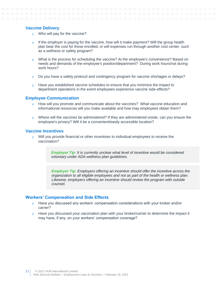## **Vaccine Delivery**

- o Who will pay for the vaccine?
- $\circ$  If the employer is paying for the vaccine, how will it make payment? Will the group health plan bear the cost for those enrolled, or will expenses run through another cost center, such as a wellness or safety program?
- What is the process for scheduling the vaccine? At the employee's convenience? Based on  $\Omega$ needs and demands of the employee's position/department? During work hours/not during work hours?
- $\circ$  Do you have a safety protocol and contingency program for vaccine shortages or delays?
- $\circ$  Have you established vaccine schedules to ensure that you minimize the impact to department operations in the event employees experience vaccine side-effects?

#### <span id="page-10-0"></span>**Employee Communication**

- How will you promote and communicate about the vaccines? What vaccine education and informational resources will you make available and how may employees obtain them?
- $\circ$  Where will the vaccines be administered? If they are administered onsite, can you ensure the employee's privacy? Will it be a convenient/easily accessible location?

# <span id="page-10-1"></span>**Vaccine Incentives**

Will you provide financial or other incentives to individual employees to receive the  $\overline{O}$ vaccination?

> *Employer Tip: It is currently unclear what level of incentive would be considered voluntary under ADA wellness plan guidelines.*

*Employer Tip: Employers offering an incentive should offer the incentive across the organization to all eligible employees and not as part of the health or wellness plan. Likewise, employers offering an incentive should review the program with outside counsel.*

#### <span id="page-10-2"></span>**Workers' Compensation and Side Effects**

- $\circ$  Have you discussed any workers' compensation considerations with your broker and/or carrier?
- $\circ$  Have you discussed your vaccination plan with your broker/carrier to determine the impact it may have, if any, on your workers' compensation coverage?